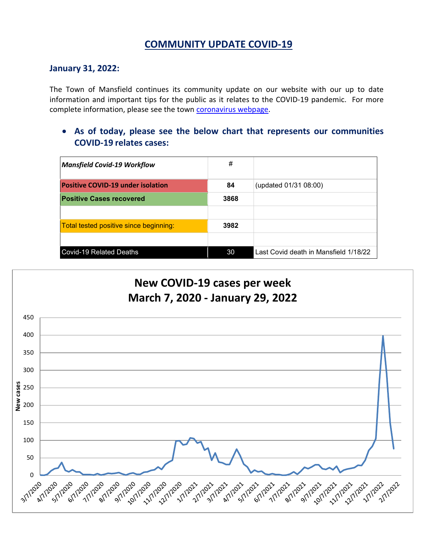# **COMMUNITY UPDATE COVID-19**

### **January 31, 2022:**

The Town of Mansfield continues its community update on our website with our up to date information and important tips for the public as it relates to the COVID-19 pandemic. For more complete information, please see the town [coronavirus webpage.](https://www.mansfieldma.com/536/Coronavirus-Information)

• **As of today, please see the below chart that represents our communities COVID-19 relates cases:**

| <b>Mansfield Covid-19 Workflow</b>       | #    |                                       |
|------------------------------------------|------|---------------------------------------|
| <b>Positive COVID-19 under isolation</b> | 84   | (updated 01/31 08:00)                 |
| <b>Positive Cases recovered</b>          | 3868 |                                       |
|                                          |      |                                       |
| Total tested positive since beginning:   | 3982 |                                       |
|                                          |      |                                       |
| <b>Covid-19 Related Deaths</b>           | 30   | Last Covid death in Mansfield 1/18/22 |

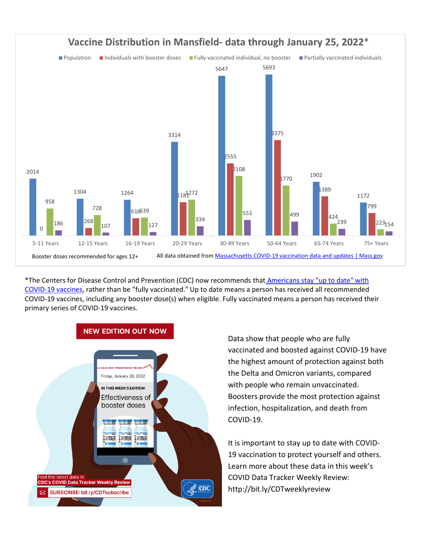

\*The Centers for Disease Control and Prevention (CDC) now recommends that Americans stay "up to date" with [COVID-19 vaccines,](https://www.cdc.gov/coronavirus/2019-ncov/vaccines/stay-up-to-date.html) rather than be "fully vaccinated." Up to date means a person has received all recommended COVID-19 vaccines, including any booster dose(s) when eligible. Fully vaccinated means a person has received their primary series of COVID-19 vaccines.



Data show that people who are fully vaccinated and boosted against COVID-19 have the highest amount of protection against both the Delta and Omicron variants, compared with people who remain unvaccinated. Boosters provide the most protection against infection, hospitalization, and death from COVID-19.

It is important to stay up to date with COVID-19 vaccination to protect yourself and others. Learn more about these data in this week's COVID Data Tracker Weekly Review: <http://bit.ly/CDTweeklyreview>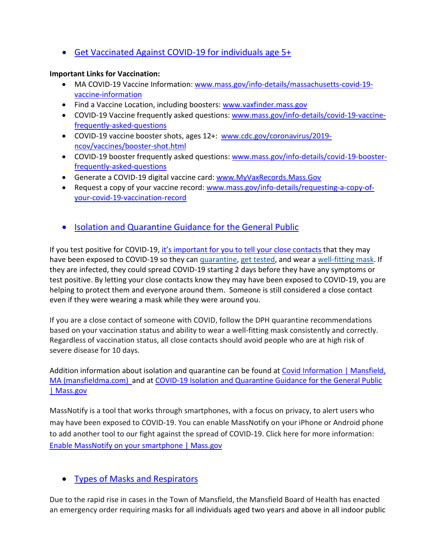• [Get Vaccinated Against COVID-19](https://www.mass.gov/covid-19-vaccine) for individuals age 5+

### **Important Links for Vaccination:**

- MA COVID-19 Vaccine Information: [www.mass.gov/info-details/massachusetts-covid-19](http://www.mass.gov/info-details/massachusetts-covid-19-vaccine-information) [vaccine-information](http://www.mass.gov/info-details/massachusetts-covid-19-vaccine-information)
- Find a Vaccine Location, including boosters: [www.vaxfinder.mass.gov](http://www.vaxfinder.mass.gov/)
- COVID-19 Vaccine frequently asked questions: [www.mass.gov/info-details/covid-19-vaccine](http://www.mass.gov/info-details/covid-19-vaccine-frequently-asked-questions)[frequently-asked-questions](http://www.mass.gov/info-details/covid-19-vaccine-frequently-asked-questions)
- COVID-19 vaccine booster shots, ages 12+: [www.cdc.gov/coronavirus/2019](http://www.cdc.gov/coronavirus/2019-ncov/vaccines/booster-shot.html) [ncov/vaccines/booster-shot.html](http://www.cdc.gov/coronavirus/2019-ncov/vaccines/booster-shot.html)
- COVID-19 booster frequently asked questions: [www.mass.gov/info-details/covid-19-booster](http://www.mass.gov/info-details/covid-19-booster-frequently-asked-questions)[frequently-asked-questions](http://www.mass.gov/info-details/covid-19-booster-frequently-asked-questions)
- Generate a COVID-19 digital vaccine card: [www.MyVaxRecords.Mass.Gov](http://www.myvaxrecords.mass.gov/)
- Request a copy of your vaccine record: [www.mass.gov/info-details/requesting-a-copy-of](http://www.mass.gov/info-details/requesting-a-copy-of-your-covid-19-vaccination-record)[your-covid-19-vaccination-record](http://www.mass.gov/info-details/requesting-a-copy-of-your-covid-19-vaccination-record)
- [Isolation and Quarantine Guidance for the General Public](https://www.mass.gov/info-details/isolation-and-quarantine-guidance-for-the-general-public)

If you test positive for COVID-19, [it's important for you to](https://www.cdc.gov/coronavirus/2019-ncov/daily-life-coping/tell-your-contacts.html) tell your close contacts that they may have been exposed to COVID-19 so they can *quarantine*, [get tested,](https://www.cdc.gov/coronavirus/2019-ncov/testing/diagnostic-testing.html) and wear a [well-fitting mask.](https://www.cdc.gov/coronavirus/2019-ncov/your-health/effective-masks.html) If they are infected, they could spread COVID-19 starting 2 days before they have any symptoms or test positive. By letting your close contacts know they may have been exposed to COVID-19, you are helping to protect them and everyone around them. Someone is still considered a close contact even if they were wearing a mask while they were around you.

If you are a close contact of someone with COVID, follow the DPH quarantine recommendations based on your vaccination status and ability to wear a well-fitting mask consistently and correctly. Regardless of vaccination status, all close contacts should avoid people who are at high risk of severe disease for 10 days.

Addition information about isolation and quarantine can be found at Covid Information | Mansfield, [MA \(mansfieldma.com\)](https://www.mansfieldma.com/601/Covid-Information) and at [COVID-19 Isolation and Quarantine Guidance for the General Public](https://www.mass.gov/info-details/covid-19-isolation-and-quarantine-guidance-for-the-general-public)  [| Mass.gov](https://www.mass.gov/info-details/covid-19-isolation-and-quarantine-guidance-for-the-general-public)

MassNotify is a tool that works through smartphones, with a focus on privacy, to alert users who may have been exposed to COVID-19. You can enable MassNotify on your iPhone or Android phone to add another tool to our fight against the spread of COVID-19. Click here for more information: [Enable MassNotify on your smartphone | Mass.gov](https://www.mass.gov/info-details/enable-massnotify-on-your-smartphone#how-to-enable-massnotify-on-your-phone-)

## • [Types of Masks and Respirators](https://www.cdc.gov/coronavirus/2019-ncov/prevent-getting-sick/types-of-masks.html)

Due to the rapid rise in cases in the Town of Mansfield, the Mansfield Board of Health has enacted an emergency order requiring masks for all individuals aged two years and above in all indoor public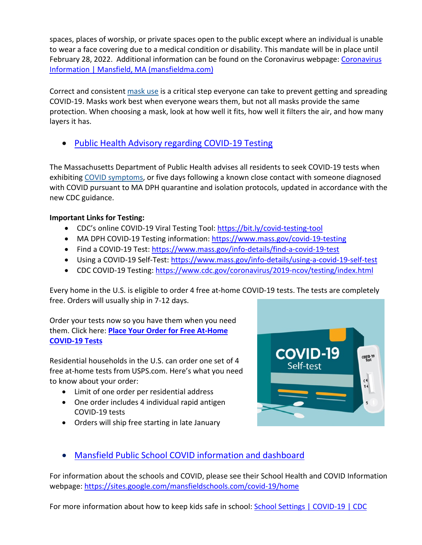spaces, places of worship, or private spaces open to the public except where an individual is unable to wear a face covering due to a medical condition or disability. This mandate will be in place until February 28, 2022. Additional information can be found on the Coronavirus webpage: [Coronavirus](https://www.mansfieldma.com/536/Coronavirus-Information)  [Information | Mansfield, MA \(mansfieldma.com\)](https://www.mansfieldma.com/536/Coronavirus-Information)

Correct and consistent [mask use](https://www.cdc.gov/coronavirus/2019-ncov/prevent-getting-sick/about-face-coverings.html) is a critical step everyone can take to prevent getting and spreading COVID-19. Masks work best when everyone wears them, but not all masks provide the same protection. When choosing a mask, look at how well it fits, how well it filters the air, and how many layers it has.

• [Public Health Advisory regarding COVID-19 Testing](https://www.mass.gov/advisory/public-health-advisory-regarding-covid-19-testing)

The Massachusetts Department of Public Health advises all residents to seek COVID-19 tests when exhibiting [COVID symptoms,](https://www.mass.gov/info-details/about-covid-19#symptoms-) or five days following a known close contact with someone diagnosed with COVID pursuant to MA DPH quarantine and isolation protocols, updated in accordance with the new CDC guidance.

### **Important Links for Testing:**

- CDC's online COVID-19 Viral Testing Tool: [https://bit.ly/covid-testing-tool](https://bit.ly/covid-testing-tool?fbclid=IwAR2ddn7qeVY_b_v0O-rkK3en8x-EPMGTVlQDDSNZxwhZrjtH_hTNHEzYKP8)
- MA DPH COVID-19 Testing information:<https://www.mass.gov/covid-19-testing>
- Find a COVID-19 Test:<https://www.mass.gov/info-details/find-a-covid-19-test>
- Using a COVID-19 Self-Test:<https://www.mass.gov/info-details/using-a-covid-19-self-test>
- CDC COVID-19 Testing:<https://www.cdc.gov/coronavirus/2019-ncov/testing/index.html>

Every home in the U.S. is eligible to order 4 free at-home COVID-19 tests. The tests are completely free. Orders will usually ship in 7-12 days.

Order your tests now so you have them when you need them. Click here: **[Place Your Order for Free At-Home](https://special.usps.com/testkits)  [COVID-19 Tests](https://special.usps.com/testkits)**

Residential households in the U.S. can order one set of 4 free at-home tests from USPS.com. Here's what you need to know about your order:

- Limit of one order per residential address
- One order includes 4 individual rapid antigen COVID-19 tests
- Orders will ship free starting in late January



# • [Mansfield Public School COVID information and dashboard](https://sites.google.com/mansfieldschools.com/covid-19/home)

For information about the schools and COVID, please see their School Health and COVID Information webpage: [https://sites.google.com/mansfieldschools.com/covid-19/home](https://sites.google.com/mansfieldschools.com/covid-19/home?fbclid=IwAR0iOibHdYbSAS4vahT7jRMaAEotiNjuySDUya0cF2mhkiXEC0YKi_yklXU)

For more information about how to keep kids safe in school: [School Settings | COVID-19 | CDC](https://www.cdc.gov/coronavirus/2019-ncov/community/schools-childcare/index.html)